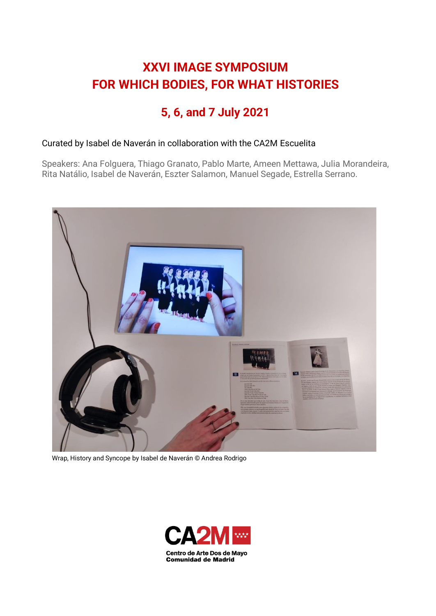# **XXVI IMAGE SYMPOSIUM FOR WHICH BODIES, FOR WHAT HISTORIES**

# **5, 6, and 7 July 2021**

# Curated by Isabel de Naverán in collaboration with the CA2M Escuelita

Speakers: Ana Folguera, Thiago Granato, Pablo Marte, Ameen Mettawa, Julia Morandeira, Rita Natálio, Isabel de Naverán, Eszter Salamon, Manuel Segade, Estrella Serrano.



Wrap, History and Syncope by Isabel de Naverán © Andrea Rodrigo

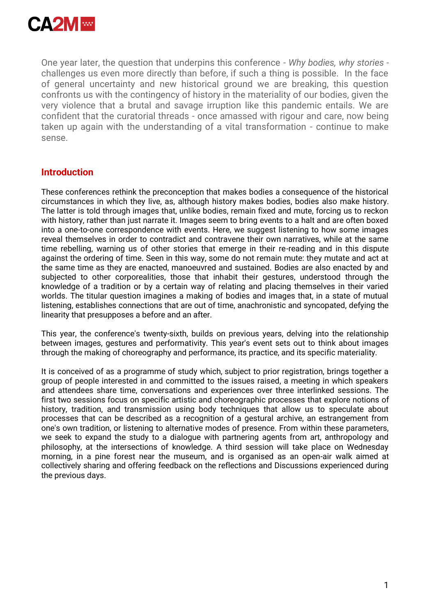

One year later, the question that underpins this conference - *Why bodies, why stories*  challenges us even more directly than before, if such a thing is possible. In the face of general uncertainty and new historical ground we are breaking, this question confronts us with the contingency of history in the materiality of our bodies, given the very violence that a brutal and savage irruption like this pandemic entails. We are confident that the curatorial threads - once amassed with rigour and care, now being taken up again with the understanding of a vital transformation - continue to make sense.

# **Introduction**

These conferences rethink the preconception that makes bodies a consequence of the historical circumstances in which they live, as, although history makes bodies, bodies also make history. The latter is told through images that, unlike bodies, remain fixed and mute, forcing us to reckon with history, rather than just narrate it. Images seem to bring events to a halt and are often boxed into a one-to-one correspondence with events. Here, we suggest listening to how some images reveal themselves in order to contradict and contravene their own narratives, while at the same time rebelling, warning us of other stories that emerge in their re-reading and in this dispute against the ordering of time. Seen in this way, some do not remain mute: they mutate and act at the same time as they are enacted, manoeuvred and sustained. Bodies are also enacted by and subjected to other corporealities, those that inhabit their gestures, understood through the knowledge of a tradition or by a certain way of relating and placing themselves in their varied worlds. The titular question imagines a making of bodies and images that, in a state of mutual listening, establishes connections that are out of time, anachronistic and syncopated, defying the linearity that presupposes a before and an after.

This year, the conference's twenty-sixth, builds on previous years, delving into the relationship between images, gestures and performativity. This year's event sets out to think about images through the making of choreography and performance, its practice, and its specific materiality.

It is conceived of as a programme of study which, subject to prior registration, brings together a group of people interested in and committed to the issues raised, a meeting in which speakers and attendees share time, conversations and experiences over three interlinked sessions. The first two sessions focus on specific artistic and choreographic processes that explore notions of history, tradition, and transmission using body techniques that allow us to speculate about processes that can be described as a recognition of a gestural archive, an estrangement from one's own tradition, or listening to alternative modes of presence. From within these parameters, we seek to expand the study to a dialogue with partnering agents from art, anthropology and philosophy, at the intersections of knowledge. A third session will take place on Wednesday morning, in a pine forest near the museum, and is organised as an open-air walk aimed at collectively sharing and offering feedback on the reflections and Discussions experienced during the previous days.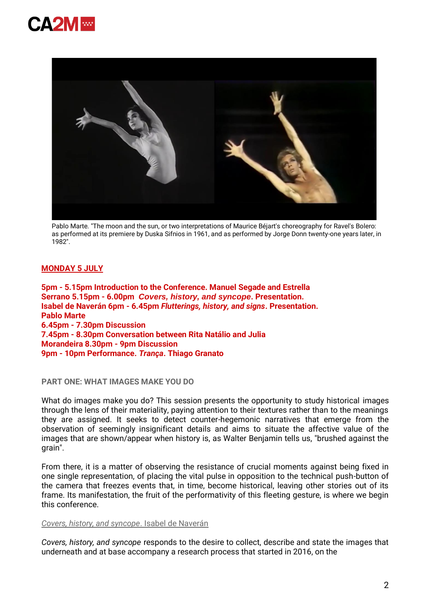



Pablo Marte. "The moon and the sun, or two interpretations of Maurice Béjart's choreography for Ravel's Bolero: as performed at its premiere by Duska Sifnios in 1961, and as performed by Jorge Donn twenty-one years later, in 1982".

# **MONDAY 5 JULY**

**5pm - 5.15pm Introduction to the Conference. Manuel Segade and Estrella Serrano 5.15pm - 6.00pm** *Covers, history, and syncope***. Presentation. Isabel de Naverán 6pm - 6.45pm** *Flutterings, history, and signs***. Presentation. Pablo Marte 6.45pm - 7.30pm Discussion 7.45pm - 8.30pm Conversation between Rita Natálio and Julia Morandeira 8.30pm - 9pm Discussion 9pm - 10pm Performance.** *Trança***. Thiago Granato**

**PART ONE: WHAT IMAGES MAKE YOU DO**

What do images make you do? This session presents the opportunity to study historical images through the lens of their materiality, paying attention to their textures rather than to the meanings they are assigned. It seeks to detect counter-hegemonic narratives that emerge from the observation of seemingly insignificant details and aims to situate the affective value of the images that are shown/appear when history is, as Walter Benjamin tells us, "brushed against the grain".

From there, it is a matter of observing the resistance of crucial moments against being fixed in one single representation, of placing the vital pulse in opposition to the technical push-button of the camera that freezes events that, in time, become historical, leaving other stories out of its frame. Its manifestation, the fruit of the performativity of this fleeting gesture, is where we begin this conference.

## *Covers, history, and syncope*. Isabel de Naverán

*Covers, history, and syncope* responds to the desire to collect, describe and state the images that underneath and at base accompany a research process that started in 2016, on the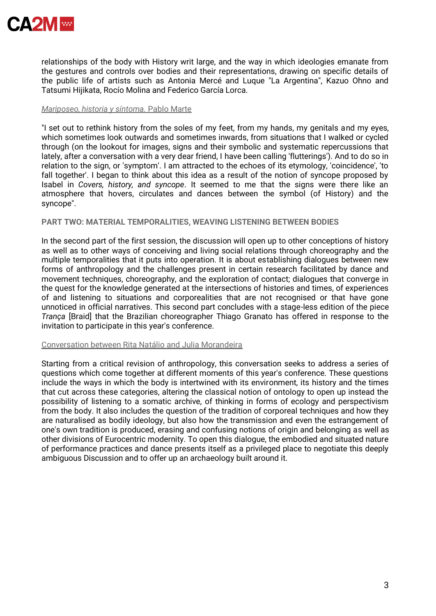

relationships of the body with History writ large, and the way in which ideologies emanate from the gestures and controls over bodies and their representations, drawing on specific details of the public life of artists such as Antonia Mercé and Luque "La Argentina", Kazuo Ohno and Tatsumi Hijikata, Rocío Molina and Federico García Lorca.

#### *Mariposeo, historia y síntoma.* Pablo Marte

"I set out to rethink history from the soles of my feet, from my hands, my genitals and my eyes, which sometimes look outwards and sometimes inwards, from situations that I walked or cycled through (on the lookout for images, signs and their symbolic and systematic repercussions that lately, after a conversation with a very dear friend, I have been calling 'flutterings'). And to do so in relation to the sign, or 'symptom'. I am attracted to the echoes of its etymology, 'coincidence', 'to fall together'. I began to think about this idea as a result of the notion of syncope proposed by Isabel in *Covers, history, and syncope*. It seemed to me that the signs were there like an atmosphere that hovers, circulates and dances between the symbol (of History) and the syncope".

### **PART TWO: MATERIAL TEMPORALITIES, WEAVING LISTENING BETWEEN BODIES**

In the second part of the first session, the discussion will open up to other conceptions of history as well as to other ways of conceiving and living social relations through choreography and the multiple temporalities that it puts into operation. It is about establishing dialogues between new forms of anthropology and the challenges present in certain research facilitated by dance and movement techniques, choreography, and the exploration of contact; dialogues that converge in the quest for the knowledge generated at the intersections of histories and times, of experiences of and listening to situations and corporealities that are not recognised or that have gone unnoticed in official narratives. This second part concludes with a stage-less edition of the piece *Trança* [Braid] that the Brazilian choreographer Thiago Granato has offered in response to the invitation to participate in this year's conference.

#### Conversation between Rita Natálio and Julia Morandeira

Starting from a critical revision of anthropology, this conversation seeks to address a series of questions which come together at different moments of this year's conference. These questions include the ways in which the body is intertwined with its environment, its history and the times that cut across these categories, altering the classical notion of ontology to open up instead the possibility of listening to a somatic archive, of thinking in forms of ecology and perspectivism from the body. It also includes the question of the tradition of corporeal techniques and how they are naturalised as bodily ideology, but also how the transmission and even the estrangement of one's own tradition is produced, erasing and confusing notions of origin and belonging as well as other divisions of Eurocentric modernity. To open this dialogue, the embodied and situated nature of performance practices and dance presents itself as a privileged place to negotiate this deeply ambiguous Discussion and to offer up an archaeology built around it.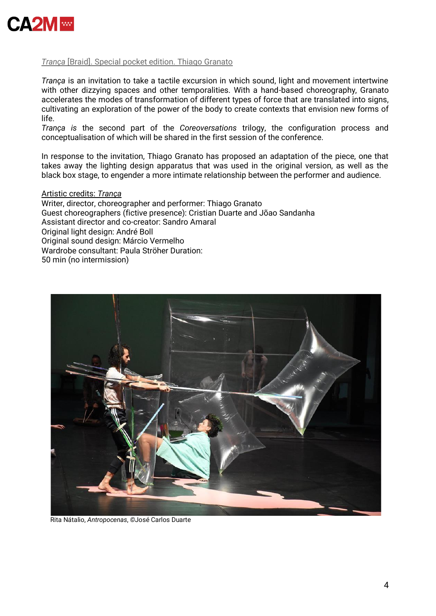

# *Trança* [Braid]. Special pocket edition. Thiago Granato

*Trança* is an invitation to take a tactile excursion in which sound, light and movement intertwine with other dizzying spaces and other temporalities. With a hand-based choreography, Granato accelerates the modes of transformation of different types of force that are translated into signs, cultivating an exploration of the power of the body to create contexts that envision new forms of life.

*Trança is* the second part of the *Coreoversations* trilogy, the configuration process and conceptualisation of which will be shared in the first session of the conference.

In response to the invitation, Thiago Granato has proposed an adaptation of the piece, one that takes away the lighting design apparatus that was used in the original version, as well as the black box stage, to engender a more intimate relationship between the performer and audience.

## Artistic credits: *Trança*

Writer, director, choreographer and performer: Thiago Granato Guest choreographers (fictive presence): Cristian Duarte and Jõao Sandanha Assistant director and co-creator: Sandro Amaral Original light design: André Boll Original sound design: Márcio Vermelho Wardrobe consultant: Paula Ströher Duration: 50 min (no intermission)



Rita Nátalio, *Antropocenas*, *©*José Carlos Duarte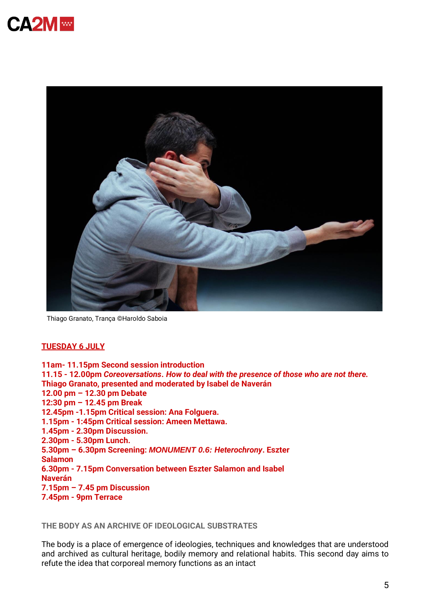



Thiago Granato, Trança ©Haroldo Saboia

### **TUESDAY 6 JULY**

**11am- 11.15pm Second session introduction 11.15 - 12.00pm** *Coreoversations***.** *How to deal with the presence of those who are not there.* **Thiago Granato, presented and moderated by Isabel de Naverán 12.00 pm – 12.30 pm Debate 12:30 pm – 12.45 pm Break 12.45pm -1.15pm Critical session: Ana Folguera. 1.15pm - 1:45pm Critical session: Ameen Mettawa. 1.45pm - 2.30pm Discussion. 2.30pm - 5.30pm Lunch. 5.30pm – 6.30pm Screening:** *MONUMENT 0.6: Heterochrony***. Eszter Salamon 6.30pm - 7.15pm Conversation between Eszter Salamon and Isabel Naverán 7.15pm – 7.45 pm Discussion 7.45pm - 9pm Terrace**

**THE BODY AS AN ARCHIVE OF IDEOLOGICAL SUBSTRATES**

The body is a place of emergence of ideologies, techniques and knowledges that are understood and archived as cultural heritage, bodily memory and relational habits. This second day aims to refute the idea that corporeal memory functions as an intact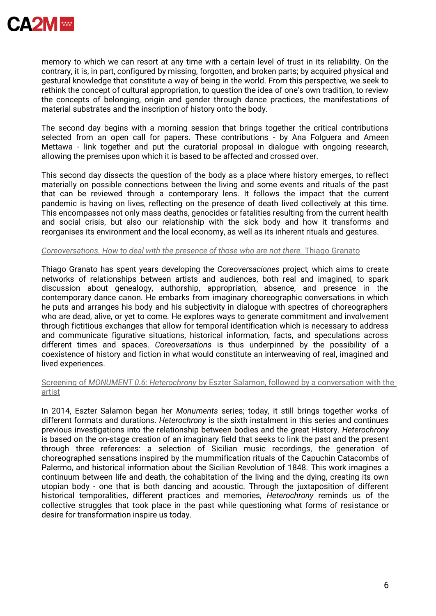

memory to which we can resort at any time with a certain level of trust in its reliability. On the contrary, it is, in part, configured by missing, forgotten, and broken parts; by acquired physical and gestural knowledge that constitute a way of being in the world. From this perspective, we seek to rethink the concept of cultural appropriation, to question the idea of one's own tradition, to review the concepts of belonging, origin and gender through dance practices, the manifestations of material substrates and the inscription of history onto the body.

The second day begins with a morning session that brings together the critical contributions selected from an open call for papers. These contributions - by Ana Folguera and Ameen Mettawa - link together and put the curatorial proposal in dialogue with ongoing research, allowing the premises upon which it is based to be affected and crossed over.

This second day dissects the question of the body as a place where history emerges, to reflect materially on possible connections between the living and some events and rituals of the past that can be reviewed through a contemporary lens. It follows the impact that the current pandemic is having on lives, reflecting on the presence of death lived collectively at this time. This encompasses not only mass deaths, genocides or fatalities resulting from the current health and social crisis, but also our relationship with the sick body and how it transforms and reorganises its environment and the local economy, as well as its inherent rituals and gestures.

#### *Coreoversations. How to deal with the presence of those who are not there.* Thiago Granato

Thiago Granato has spent years developing the *Coreoversaciones* project*,* which aims to create networks of relationships between artists and audiences, both real and imagined, to spark discussion about genealogy, authorship, appropriation, absence, and presence in the contemporary dance canon. He embarks from imaginary choreographic conversations in which he puts and arranges his body and his subjectivity in dialogue with spectres of choreographers who are dead, alive, or yet to come. He explores ways to generate commitment and involvement through fictitious exchanges that allow for temporal identification which is necessary to address and communicate figurative situations, historical information, facts, and speculations across different times and spaces. *Coreoversations* is thus underpinned by the possibility of a coexistence of history and fiction in what would constitute an interweaving of real, imagined and lived experiences.

## Screening of *MONUMENT 0.6*: *Heterochrony* by Eszter Salamon, followed by a conversation with the artist

In 2014, Eszter Salamon began her *Monuments* series; today, it still brings together works of different formats and durations. *Heterochrony* is the sixth instalment in this series and continues previous investigations into the relationship between bodies and the great History. *Heterochrony*  is based on the on-stage creation of an imaginary field that seeks to link the past and the present through three references: a selection of Sicilian music recordings, the generation of choreographed sensations inspired by the mummification rituals of the Capuchin Catacombs of Palermo, and historical information about the Sicilian Revolution of 1848. This work imagines a continuum between life and death, the cohabitation of the living and the dying, creating its own utopian body - one that is both dancing and acoustic. Through the juxtaposition of different historical temporalities, different practices and memories, *Heterochrony* reminds us of the collective struggles that took place in the past while questioning what forms of resistance or desire for transformation inspire us today.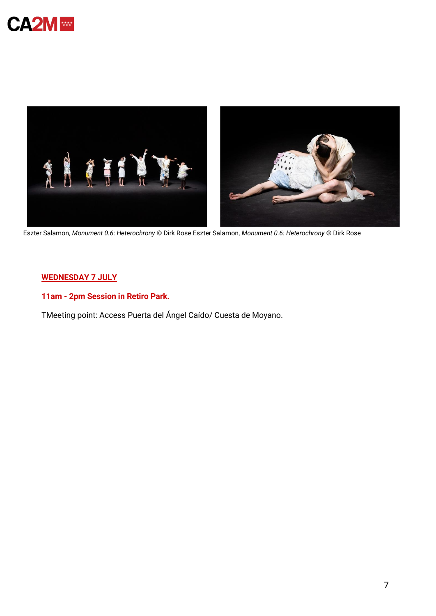



Eszter Salamon, *Monument 0.6*: *Heterochrony* © Dirk Rose Eszter Salamon, *Monument 0.6: Heterochrony* © Dirk Rose

# **WEDNESDAY 7 JULY**

**11am - 2pm Session in Retiro Park.**

TMeeting point: Access Puerta del Ángel Caído/ Cuesta de Moyano.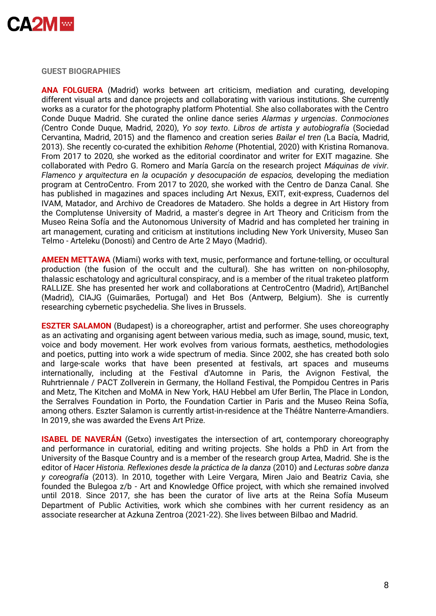

**GUEST BIOGRAPHIES**

**ANA FOLGUERA** (Madrid) works between art criticism, mediation and curating, developing different visual arts and dance projects and collaborating with various institutions. She currently works as a curator for the photography platform Photential. She also collaborates with the Centro Conde Duque Madrid. She curated the online dance series *Alarmas y urgencias*. *Conmociones (*Centro Conde Duque, Madrid, 2020), *Yo soy texto*. *Libros de artista y autobiografía* (Sociedad Cervantina, Madrid, 2015) and the flamenco and creation series *Bailar el tren (*La Bacía, Madrid, 2013). She recently co-curated the exhibition *Rehome* (Photential, 2020) with Kristina Romanova. From 2017 to 2020, she worked as the editorial coordinator and writer for EXIT magazine. She collaborated with Pedro G. Romero and María García on the research project *Máquinas de vivir*. *Flamenco y arquitectura en la ocupación y desocupación de espacios,* developing the mediation program at CentroCentro. From 2017 to 2020, she worked with the Centro de Danza Canal. She has published in magazines and spaces including Art Nexus, EXIT, exit-express, Cuadernos del IVAM, Matador, and Archivo de Creadores de Matadero. She holds a degree in Art History from the Complutense University of Madrid, a master's degree in Art Theory and Criticism from the Museo Reina Sofía and the Autonomous University of Madrid and has completed her training in art management, curating and criticism at institutions including New York University, Museo San Telmo - Arteleku (Donosti) and Centro de Arte 2 Mayo (Madrid).

**AMEEN METTAWA** (Miami) works with text, music, performance and fortune-telling, or occultural production (the fusion of the occult and the cultural). She has written on non-philosophy, thalassic eschatology and agricultural conspiracy, and is a member of the ritual traketeo platform RALLIZE. She has presented her work and collaborations at CentroCentro (Madrid), Art|Banchel (Madrid), CIAJG (Guimarães, Portugal) and Het Bos (Antwerp, Belgium). She is currently researching cybernetic psychedelia. She lives in Brussels.

**ESZTER SALAMON** (Budapest) is a choreographer, artist and performer. She uses choreography as an activating and organising agent between various media, such as image, sound, music, text, voice and body movement. Her work evolves from various formats, aesthetics, methodologies and poetics, putting into work a wide spectrum of media. Since 2002, she has created both solo and large-scale works that have been presented at festivals, art spaces and museums internationally, including at the Festival d'Automne in Paris, the Avignon Festival, the Ruhrtriennale / PACT Zollverein in Germany, the Holland Festival, the Pompidou Centres in Paris and Metz, The Kitchen and MoMA in New York, HAU Hebbel am Ufer Berlin, The Place in London, the Serralves Foundation in Porto, the Foundation Cartier in Paris and the Museo Reina Sofía, among others. Eszter Salamon is currently artist-in-residence at the Théâtre Nanterre-Amandiers. In 2019, she was awarded the Evens Art Prize.

**ISABEL DE NAVERÁN** (Getxo) investigates the intersection of art, contemporary choreography and performance in curatorial, editing and writing projects. She holds a PhD in Art from the University of the Basque Country and is a member of the research group Artea, Madrid. She is the editor of *Hacer Historia. Reflexiones desde la práctica de la danza* (2010) and *Lecturas sobre danza y coreografía* (2013). In 2010, together with Leire Vergara, Miren Jaio and Beatriz Cavia, she founded the Bulegoa z/b - Art and Knowledge Office project, with which she remained involved until 2018. Since 2017, she has been the curator of live arts at the Reina Sofía Museum Department of Public Activities, work which she combines with her current residency as an associate researcher at Azkuna Zentroa (2021-22). She lives between Bilbao and Madrid.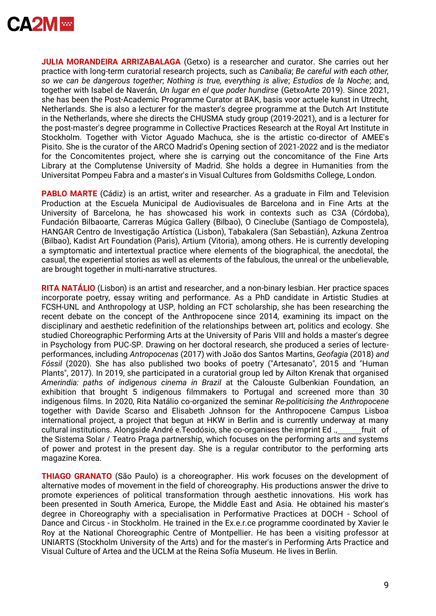

**JULIA MORANDEIRA ARRIZABALAGA** (Getxo) is a researcher and curator. She carries out her practice with long-term curatorial research projects, such as *Canibalia*; *Be careful with each other, so we can be dangerous together*; *Nothing is true, everything is alive*; *Estudios de la Noche*; and, together with Isabel de Naverán, *Un lugar en el que poder hundirse* (GetxoArte 2019). Since 2021, she has been the Post-Academic Programme Curator at BAK, basis voor actuele kunst in Utrecht, Netherlands. She is also a lecturer for the master's degree programme at the Dutch Art Institute in the Netherlands, where she directs the CHUSMA study group (2019-2021), and is a lecturer for the post-master's degree programme in Collective Practices Research at the Royal Art Institute in Stockholm. Together with Victor Aguado Machuca, she is the artistic co-director of AMEE's Pisito. She is the curator of the ARCO Madrid's Opening section of 2021-2022 and is the mediator for the Concomitentes project, where she is carrying out the concomitance of the Fine Arts Library at the Complutense University of Madrid. She holds a degree in Humanities from the Universitat Pompeu Fabra and a master's in Visual Cultures from Goldsmiths College, London.

**PABLO MARTE** (Cádiz) is an artist, writer and researcher. As a graduate in Film and Television Production at the Escuela Municipal de Audiovisuales de Barcelona and in Fine Arts at the University of Barcelona, he has showcased his work in contexts such as C3A (Córdoba), Fundación Bilbaoarte, Carreras Múgica Gallery (Bilbao), O Cineclube (Santiago de Compostela), HANGAR Centro de Investigação Artística (Lisbon), Tabakalera (San Sebastián), Azkuna Zentroa (Bilbao), Kadist Art Foundation (Paris), Artium (Vitoria), among others. He is currently developing a symptomatic and intertextual practice where elements of the biographical, the anecdotal, the casual, the experiential stories as well as elements of the fabulous, the unreal or the unbelievable, are brought together in multi-narrative structures.

**RITA NATÁLIO** (Lisbon) is an artist and researcher, and a non-binary lesbian. Her practice spaces incorporate poetry, essay writing and performance. As a PhD candidate in Artistic Studies at FCSH-UNL and Anthropology at USP, holding an FCT scholarship, she has been researching the recent debate on the concept of the Anthropocene since 2014, examining its impact on the disciplinary and aesthetic redefinition of the relationships between art, politics and ecology. She studied Choreographic Performing Arts at the University of Paris VIII and holds a master's degree in Psychology from PUC-SP. Drawing on her doctoral research, she produced a series of lectureperformances, including *Antropocenas* (2017) with João dos Santos Martins, *Geofagia* (2018) *and Fóssil* (2020). She has also published two books of poetry ("Artesanato", 2015 and "Human Plants", 2017). In 2019, she participated in a curatorial group led by Ailton Krenak that organised *Amerindia: paths of indigenous cinema in Brazil* at the Calouste Gulbenkian Foundation, an exhibition that brought 5 indigenous filmmakers to Portugal and screened more than 30 indigenous films. In 2020, Rita Natálio co-organized the seminar *Re-politicising the Anthropocene*  together with Davide Scarso and Elisabeth Johnson for the Anthropocene Campus Lisboa international project, a project that begun at HKW in Berlin and is currently underway at many cultural institutions. Alongside André e.Teodósio, she co-organises the imprint Ed ., fruit of the Sistema Solar / Teatro Praga partnership, which focuses on the performing arts and systems of power and protest in the present day. She is a regular contributor to the performing arts magazine Korea.

**THIAGO GRANATO** (São Paulo) is a choreographer. His work focuses on the development of alternative modes of movement in the field of choreography. His productions answer the drive to promote experiences of political transformation through aesthetic innovations. His work has been presented in South America, Europe, the Middle East and Asia. He obtained his master's degree in Choreography with a specialisation in Performative Practices at DOCH - School of Dance and Circus - in Stockholm. He trained in the Ex.e.r.ce programme coordinated by Xavier le Roy at the National Choreographic Centre of Montpellier. He has been a visiting professor at UNIARTS (Stockholm University of the Arts) and for the master's in Performing Arts Practice and Visual Culture of Artea and the UCLM at the Reina Sofía Museum. He lives in Berlin.